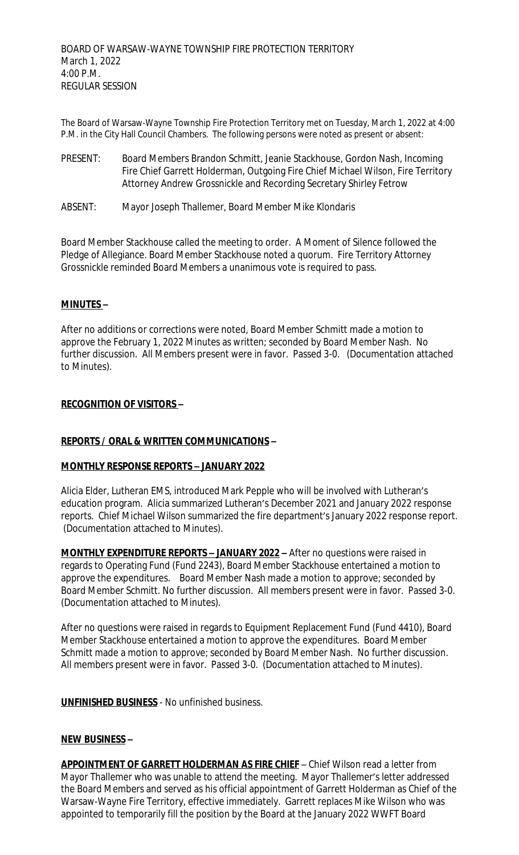The Board of Warsaw-Wayne Township Fire Protection Territory met on Tuesday, March 1, 2022 at 4:00 P.M. in the City Hall Council Chambers. The following persons were noted as present or absent:

- PRESENT: Board Members Brandon Schmitt, Jeanie Stackhouse, Gordon Nash, Incoming Fire Chief Garrett Holderman, Outgoing Fire Chief Michael Wilson, Fire Territory Attorney Andrew Grossnickle and Recording Secretary Shirley Fetrow
- ABSENT: Mayor Joseph Thallemer, Board Member Mike Klondaris

Board Member Stackhouse called the meeting to order. A Moment of Silence followed the Pledge of Allegiance. Board Member Stackhouse noted a quorum. Fire Territory Attorney Grossnickle reminded Board Members a unanimous vote is required to pass.

## **MINUTES –**

After no additions or corrections were noted, Board Member Schmitt made a motion to approve the February 1, 2022 Minutes as written; seconded by Board Member Nash. No further discussion. All Members present were in favor. Passed 3-0. (Documentation attached to Minutes).

### **RECOGNITION OF VISITORS –**

## **REPORTS / ORAL & WRITTEN COMMUNICATIONS –**

#### **MONTHLY RESPONSE REPORTS – JANUARY 2022**

Alicia Elder, Lutheran EMS, introduced Mark Pepple who will be involved with Lutheran's education program. Alicia summarized Lutheran's December 2021 and January 2022 response reports. Chief Michael Wilson summarized the fire department's January 2022 response report. (Documentation attached to Minutes).

**MONTHLY EXPENDITURE REPORTS – JANUARY 2022 –** After no questions were raised in regards to Operating Fund (Fund 2243), Board Member Stackhouse entertained a motion to approve the expenditures. Board Member Nash made a motion to approve; seconded by Board Member Schmitt. No further discussion. All members present were in favor. Passed 3-0. (Documentation attached to Minutes).

After no questions were raised in regards to Equipment Replacement Fund (Fund 4410), Board Member Stackhouse entertained a motion to approve the expenditures. Board Member Schmitt made a motion to approve; seconded by Board Member Nash. No further discussion. All members present were in favor. Passed 3-0. (Documentation attached to Minutes).

**UNFINISHED BUSINESS** - No unfinished business.

#### **NEW BUSINESS –**

**APPOINTMENT OF GARRETT HOLDERMAN AS FIRE CHIEF** – Chief Wilson read a letter from Mayor Thallemer who was unable to attend the meeting. Mayor Thallemer's letter addressed the Board Members and served as his official appointment of Garrett Holderman as Chief of the Warsaw-Wayne Fire Territory, effective immediately. Garrett replaces Mike Wilson who was appointed to temporarily fill the position by the Board at the January 2022 WWFT Board